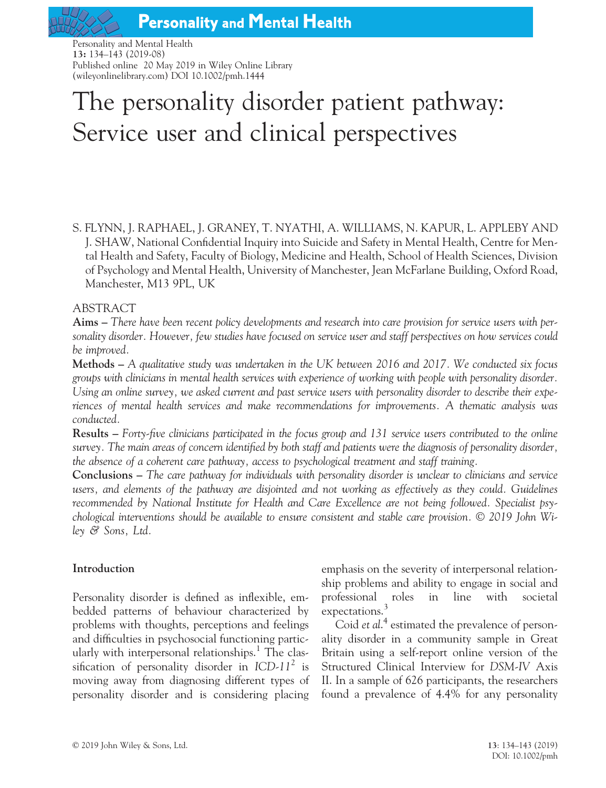Personality and Mental Health 13: 134–143 (2019-08) Published online 20 May 2019 in Wiley Online Library (wileyonlinelibrary.com) DOI 10.1002/pmh.1444

# The personality disorder patient pathway: Service user and clinical perspectives

S. FLYNN, J. RAPHAEL, J. GRANEY, T. NYATHI, A. WILLIAMS, N. KAPUR, L. APPLEBY AND J. SHAW, National Confidential Inquiry into Suicide and Safety in Mental Health, Centre for Mental Health and Safety, Faculty of Biology, Medicine and Health, School of Health Sciences, Division of Psychology and Mental Health, University of Manchester, Jean McFarlane Building, Oxford Road, Manchester, M13 9PL, UK

## ABSTRACT

Aims – There have been recent policy developments and research into care provision for service users with personality disorder. However, few studies have focused on service user and staff perspectives on how services could be improved.

Methods – A qualitative study was undertaken in the UK between 2016 and 2017. We conducted six focus groups with clinicians in mental health services with experience of working with people with personality disorder. Using an online survey, we asked current and past service users with personality disorder to describe their experiences of mental health services and make recommendations for improvements. A thematic analysis was conducted.

Results – Forty-five clinicians participated in the focus group and 131 service users contributed to the online survey. The main areas of concern identified by both staff and patients were the diagnosis of personality disorder, the absence of a coherent care pathway, access to psychological treatment and staff training.

Conclusions – The care pathway for individuals with personality disorder is unclear to clinicians and service users, and elements of the pathway are disjointed and not working as effectively as they could. Guidelines recommended by National Institute for Health and Care Excellence are not being followed. Specialist psychological interventions should be available to ensure consistent and stable care provision. © 2019 John Wiley & Sons, Ltd.

#### Introduction

Personality disorder is defined as inflexible, embedded patterns of behaviour characterized by problems with thoughts, perceptions and feelings and difficulties in psychosocial functioning particularly with interpersonal relationships.<sup>1</sup> The classification of personality disorder in ICD-11<sup>2</sup> is moving away from diagnosing different types of personality disorder and is considering placing

emphasis on the severity of interpersonal relationship problems and ability to engage in social and professional roles in line with societal expectations.<sup>3</sup>

Coid et al.<sup>4</sup> estimated the prevalence of personality disorder in a community sample in Great Britain using a self-report online version of the Structured Clinical Interview for DSM-IV Axis II. In a sample of 626 participants, the researchers found a prevalence of 4.4% for any personality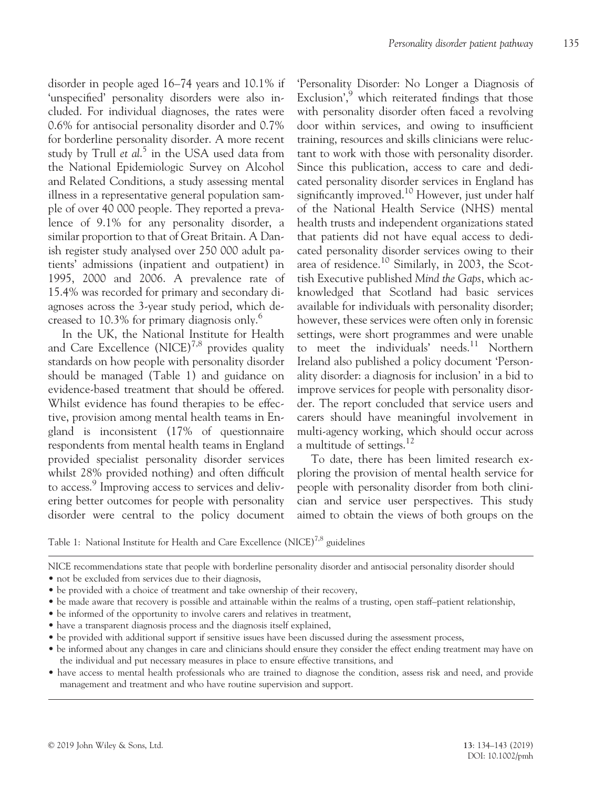disorder in people aged 16–74 years and 10.1% if 'unspecified' personality disorders were also included. For individual diagnoses, the rates were 0.6% for antisocial personality disorder and 0.7% for borderline personality disorder. A more recent study by Trull et al.<sup>5</sup> in the USA used data from the National Epidemiologic Survey on Alcohol and Related Conditions, a study assessing mental illness in a representative general population sample of over 40 000 people. They reported a prevalence of 9.1% for any personality disorder, a similar proportion to that of Great Britain. A Danish register study analysed over 250 000 adult patients' admissions (inpatient and outpatient) in 1995, 2000 and 2006. A prevalence rate of 15.4% was recorded for primary and secondary diagnoses across the 3-year study period, which decreased to 10.3% for primary diagnosis only.<sup>6</sup>

In the UK, the National Institute for Health and Care Excellence  $(NICE)^{7,8}$  provides quality standards on how people with personality disorder should be managed (Table 1) and guidance on evidence-based treatment that should be offered. Whilst evidence has found therapies to be effective, provision among mental health teams in England is inconsistent (17% of questionnaire respondents from mental health teams in England provided specialist personality disorder services whilst 28% provided nothing) and often difficult to access.<sup>9</sup> Improving access to services and delivering better outcomes for people with personality disorder were central to the policy document 'Personality Disorder: No Longer a Diagnosis of Exclusion',<sup>9</sup> which reiterated findings that those with personality disorder often faced a revolving door within services, and owing to insufficient training, resources and skills clinicians were reluctant to work with those with personality disorder. Since this publication, access to care and dedicated personality disorder services in England has significantly improved.<sup>10</sup> However, just under half of the National Health Service (NHS) mental health trusts and independent organizations stated that patients did not have equal access to dedicated personality disorder services owing to their area of residence.<sup>10</sup> Similarly, in 2003, the Scottish Executive published Mind the Gaps, which acknowledged that Scotland had basic services available for individuals with personality disorder; however, these services were often only in forensic settings, were short programmes and were unable to meet the individuals' needs.<sup>11</sup> Northern Ireland also published a policy document 'Personality disorder: a diagnosis for inclusion' in a bid to improve services for people with personality disorder. The report concluded that service users and carers should have meaningful involvement in multi-agency working, which should occur across a multitude of settings.<sup>12</sup>

To date, there has been limited research exploring the provision of mental health service for people with personality disorder from both clinician and service user perspectives. This study aimed to obtain the views of both groups on the

Table 1: National Institute for Health and Care Excellence (NICE)<sup>7,8</sup> guidelines

NICE recommendations state that people with borderline personality disorder and antisocial personality disorder should

- not be excluded from services due to their diagnosis,
- be provided with a choice of treatment and take ownership of their recovery,
- be made aware that recovery is possible and attainable within the realms of a trusting, open staff–patient relationship,
- be informed of the opportunity to involve carers and relatives in treatment,
- have a transparent diagnosis process and the diagnosis itself explained,
- be provided with additional support if sensitive issues have been discussed during the assessment process,

• have access to mental health professionals who are trained to diagnose the condition, assess risk and need, and provide management and treatment and who have routine supervision and support.

<sup>•</sup> be informed about any changes in care and clinicians should ensure they consider the effect ending treatment may have on the individual and put necessary measures in place to ensure effective transitions, and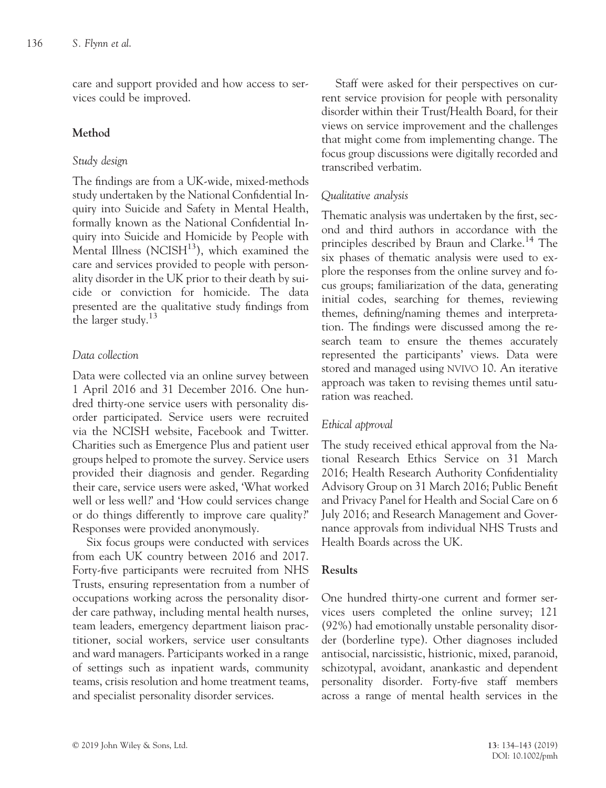care and support provided and how access to services could be improved.

# Method

## Study design

The findings are from a UK-wide, mixed-methods study undertaken by the National Confidential Inquiry into Suicide and Safety in Mental Health, formally known as the National Confidential Inquiry into Suicide and Homicide by People with Mental Illness (NCIS $H^{13}$ ), which examined the care and services provided to people with personality disorder in the UK prior to their death by suicide or conviction for homicide. The data presented are the qualitative study findings from the larger study. $13$ 

# Data collection

Data were collected via an online survey between 1 April 2016 and 31 December 2016. One hundred thirty-one service users with personality disorder participated. Service users were recruited via the NCISH website, Facebook and Twitter. Charities such as Emergence Plus and patient user groups helped to promote the survey. Service users provided their diagnosis and gender. Regarding their care, service users were asked, 'What worked well or less well?' and 'How could services change or do things differently to improve care quality?' Responses were provided anonymously.

Six focus groups were conducted with services from each UK country between 2016 and 2017. Forty-five participants were recruited from NHS Trusts, ensuring representation from a number of occupations working across the personality disorder care pathway, including mental health nurses, team leaders, emergency department liaison practitioner, social workers, service user consultants and ward managers. Participants worked in a range of settings such as inpatient wards, community teams, crisis resolution and home treatment teams, and specialist personality disorder services.

Staff were asked for their perspectives on current service provision for people with personality disorder within their Trust/Health Board, for their views on service improvement and the challenges that might come from implementing change. The focus group discussions were digitally recorded and transcribed verbatim.

# Qualitative analysis

Thematic analysis was undertaken by the first, second and third authors in accordance with the principles described by Braun and Clarke.<sup>14</sup> The six phases of thematic analysis were used to explore the responses from the online survey and focus groups; familiarization of the data, generating initial codes, searching for themes, reviewing themes, defining/naming themes and interpretation. The findings were discussed among the research team to ensure the themes accurately represented the participants' views. Data were stored and managed using NVIVO 10. An iterative approach was taken to revising themes until saturation was reached.

## Ethical approval

The study received ethical approval from the National Research Ethics Service on 31 March 2016; Health Research Authority Confidentiality Advisory Group on 31 March 2016; Public Benefit and Privacy Panel for Health and Social Care on 6 July 2016; and Research Management and Governance approvals from individual NHS Trusts and Health Boards across the UK.

# Results

One hundred thirty-one current and former services users completed the online survey; 121 (92%) had emotionally unstable personality disorder (borderline type). Other diagnoses included antisocial, narcissistic, histrionic, mixed, paranoid, schizotypal, avoidant, anankastic and dependent personality disorder. Forty-five staff members across a range of mental health services in the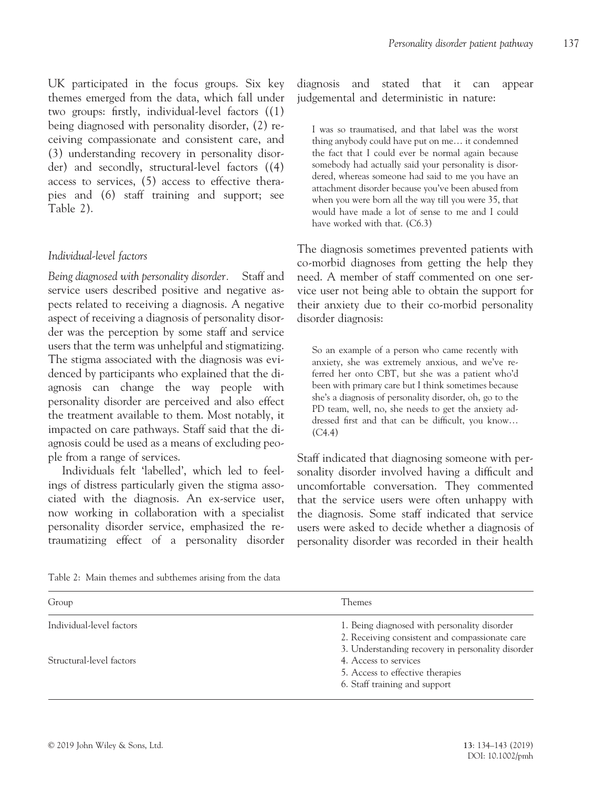UK participated in the focus groups. Six key themes emerged from the data, which fall under two groups: firstly, individual-level factors ((1) being diagnosed with personality disorder, (2) receiving compassionate and consistent care, and (3) understanding recovery in personality disorder) and secondly, structural-level factors ((4) access to services, (5) access to effective therapies and (6) staff training and support; see Table 2).

#### Individual-level factors

Being diagnosed with personality disorder. Staff and service users described positive and negative aspects related to receiving a diagnosis. A negative aspect of receiving a diagnosis of personality disorder was the perception by some staff and service users that the term was unhelpful and stigmatizing. The stigma associated with the diagnosis was evidenced by participants who explained that the diagnosis can change the way people with personality disorder are perceived and also effect the treatment available to them. Most notably, it impacted on care pathways. Staff said that the diagnosis could be used as a means of excluding people from a range of services.

Individuals felt 'labelled', which led to feelings of distress particularly given the stigma associated with the diagnosis. An ex-service user, now working in collaboration with a specialist personality disorder service, emphasized the retraumatizing effect of a personality disorder diagnosis and stated that it can appear judgemental and deterministic in nature:

I was so traumatised, and that label was the worst thing anybody could have put on me… it condemned the fact that I could ever be normal again because somebody had actually said your personality is disordered, whereas someone had said to me you have an attachment disorder because you've been abused from when you were born all the way till you were 35, that would have made a lot of sense to me and I could have worked with that. (C6.3)

The diagnosis sometimes prevented patients with co-morbid diagnoses from getting the help they need. A member of staff commented on one service user not being able to obtain the support for their anxiety due to their co-morbid personality disorder diagnosis:

So an example of a person who came recently with anxiety, she was extremely anxious, and we've referred her onto CBT, but she was a patient who'd been with primary care but I think sometimes because she's a diagnosis of personality disorder, oh, go to the PD team, well, no, she needs to get the anxiety addressed first and that can be difficult, you know… (C4.4)

Staff indicated that diagnosing someone with personality disorder involved having a difficult and uncomfortable conversation. They commented that the service users were often unhappy with the diagnosis. Some staff indicated that service users were asked to decide whether a diagnosis of personality disorder was recorded in their health

Table 2: Main themes and subthemes arising from the data

| Group                    | <b>Themes</b>                                     |
|--------------------------|---------------------------------------------------|
| Individual-level factors | 1. Being diagnosed with personality disorder      |
|                          | 2. Receiving consistent and compassionate care    |
|                          | 3. Understanding recovery in personality disorder |
| Structural-level factors | 4. Access to services                             |
|                          | 5. Access to effective therapies                  |
|                          | 6. Staff training and support                     |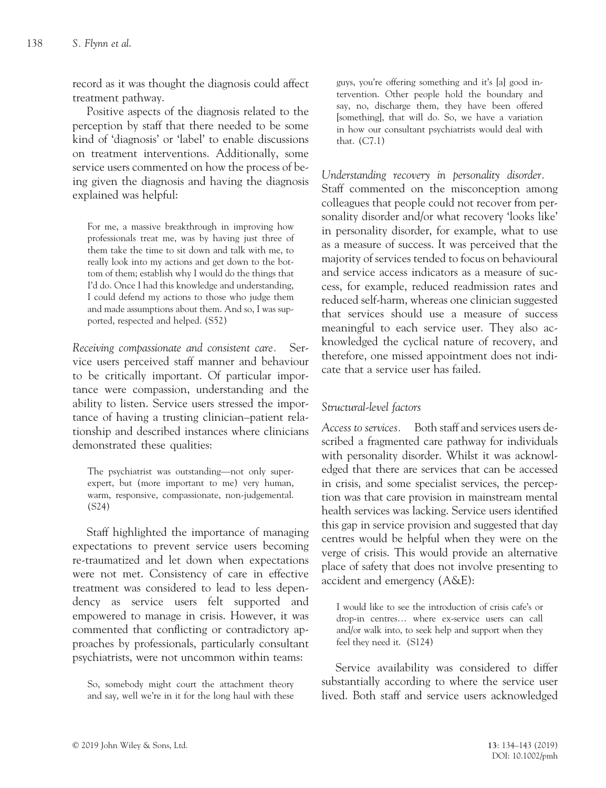record as it was thought the diagnosis could affect treatment pathway.

Positive aspects of the diagnosis related to the perception by staff that there needed to be some kind of 'diagnosis' or 'label' to enable discussions on treatment interventions. Additionally, some service users commented on how the process of being given the diagnosis and having the diagnosis explained was helpful:

For me, a massive breakthrough in improving how professionals treat me, was by having just three of them take the time to sit down and talk with me, to really look into my actions and get down to the bottom of them; establish why I would do the things that I'd do. Once I had this knowledge and understanding, I could defend my actions to those who judge them and made assumptions about them. And so, I was supported, respected and helped. (S52)

Receiving compassionate and consistent care. Service users perceived staff manner and behaviour to be critically important. Of particular importance were compassion, understanding and the ability to listen. Service users stressed the importance of having a trusting clinician–patient relationship and described instances where clinicians demonstrated these qualities:

The psychiatrist was outstanding—not only superexpert, but (more important to me) very human, warm, responsive, compassionate, non-judgemental. (S24)

Staff highlighted the importance of managing expectations to prevent service users becoming re-traumatized and let down when expectations were not met. Consistency of care in effective treatment was considered to lead to less dependency as service users felt supported and empowered to manage in crisis. However, it was commented that conflicting or contradictory approaches by professionals, particularly consultant psychiatrists, were not uncommon within teams:

So, somebody might court the attachment theory and say, well we're in it for the long haul with these guys, you're offering something and it's [a] good intervention. Other people hold the boundary and say, no, discharge them, they have been offered [something], that will do. So, we have a variation in how our consultant psychiatrists would deal with that. (C7.1)

Understanding recovery in personality disorder.

Staff commented on the misconception among colleagues that people could not recover from personality disorder and/or what recovery 'looks like' in personality disorder, for example, what to use as a measure of success. It was perceived that the majority of services tended to focus on behavioural and service access indicators as a measure of success, for example, reduced readmission rates and reduced self-harm, whereas one clinician suggested that services should use a measure of success meaningful to each service user. They also acknowledged the cyclical nature of recovery, and therefore, one missed appointment does not indicate that a service user has failed.

## Structural-level factors

Access to services. Both staff and services users described a fragmented care pathway for individuals with personality disorder. Whilst it was acknowledged that there are services that can be accessed in crisis, and some specialist services, the perception was that care provision in mainstream mental health services was lacking. Service users identified this gap in service provision and suggested that day centres would be helpful when they were on the verge of crisis. This would provide an alternative place of safety that does not involve presenting to accident and emergency (A&E):

I would like to see the introduction of crisis cafe's or drop-in centres… where ex-service users can call and/or walk into, to seek help and support when they feel they need it. (S124)

Service availability was considered to differ substantially according to where the service user lived. Both staff and service users acknowledged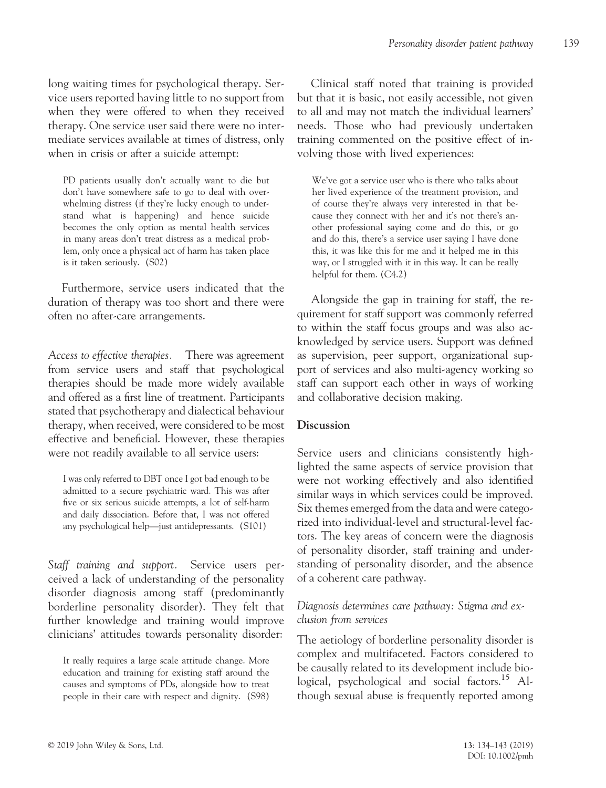long waiting times for psychological therapy. Service users reported having little to no support from when they were offered to when they received therapy. One service user said there were no intermediate services available at times of distress, only when in crisis or after a suicide attempt:

PD patients usually don't actually want to die but don't have somewhere safe to go to deal with overwhelming distress (if they're lucky enough to understand what is happening) and hence suicide becomes the only option as mental health services in many areas don't treat distress as a medical problem, only once a physical act of harm has taken place is it taken seriously. (S02)

Furthermore, service users indicated that the duration of therapy was too short and there were often no after-care arrangements.

Access to effective therapies. There was agreement from service users and staff that psychological therapies should be made more widely available and offered as a first line of treatment. Participants stated that psychotherapy and dialectical behaviour therapy, when received, were considered to be most effective and beneficial. However, these therapies were not readily available to all service users:

I was only referred to DBT once I got bad enough to be admitted to a secure psychiatric ward. This was after five or six serious suicide attempts, a lot of self-harm and daily dissociation. Before that, I was not offered any psychological help—just antidepressants. (S101)

Staff training and support. Service users perceived a lack of understanding of the personality disorder diagnosis among staff (predominantly borderline personality disorder). They felt that further knowledge and training would improve clinicians' attitudes towards personality disorder:

It really requires a large scale attitude change. More education and training for existing staff around the causes and symptoms of PDs, alongside how to treat people in their care with respect and dignity. (S98)

Clinical staff noted that training is provided but that it is basic, not easily accessible, not given to all and may not match the individual learners' needs. Those who had previously undertaken training commented on the positive effect of involving those with lived experiences:

We've got a service user who is there who talks about her lived experience of the treatment provision, and of course they're always very interested in that because they connect with her and it's not there's another professional saying come and do this, or go and do this, there's a service user saying I have done this, it was like this for me and it helped me in this way, or I struggled with it in this way. It can be really helpful for them. (C4.2)

Alongside the gap in training for staff, the requirement for staff support was commonly referred to within the staff focus groups and was also acknowledged by service users. Support was defined as supervision, peer support, organizational support of services and also multi-agency working so staff can support each other in ways of working and collaborative decision making.

## Discussion

Service users and clinicians consistently highlighted the same aspects of service provision that were not working effectively and also identified similar ways in which services could be improved. Six themes emerged from the data and were categorized into individual-level and structural-level factors. The key areas of concern were the diagnosis of personality disorder, staff training and understanding of personality disorder, and the absence of a coherent care pathway.

# Diagnosis determines care pathway: Stigma and exclusion from services

The aetiology of borderline personality disorder is complex and multifaceted. Factors considered to be causally related to its development include biological, psychological and social factors.<sup>15</sup> Although sexual abuse is frequently reported among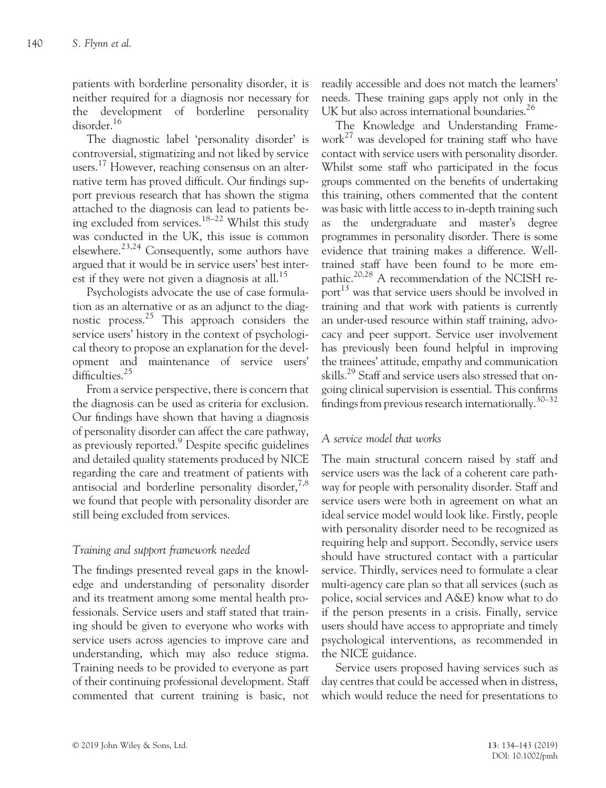patients with borderline personality disorder, it is neither required for a diagnosis nor necessary for the development of borderline personality disorder.<sup>16</sup>

The diagnostic label 'personality disorder' is controversial, stigmatizing and not liked by service users.<sup>17</sup> However, reaching consensus on an alternative term has proved difficult. Our findings support previous research that has shown the stigma attached to the diagnosis can lead to patients being excluded from services.<sup>18–22</sup> Whilst this study was conducted in the UK, this issue is common elsewhere.<sup>23,24</sup> Consequently, some authors have argued that it would be in service users' best interest if they were not given a diagnosis at all.<sup>15</sup>

Psychologists advocate the use of case formulation as an alternative or as an adjunct to the diagnostic process.<sup>25</sup> This approach considers the service users' history in the context of psychological theory to propose an explanation for the development and maintenance of service users' difficulties.<sup>25</sup>

From a service perspective, there is concern that the diagnosis can be used as criteria for exclusion. Our findings have shown that having a diagnosis of personality disorder can affect the care pathway, as previously reported.<sup>9</sup> Despite specific guidelines and detailed quality statements produced by NICE regarding the care and treatment of patients with antisocial and borderline personality disorder,  $7,8$ we found that people with personality disorder are still being excluded from services.

## Training and support framework needed

The findings presented reveal gaps in the knowledge and understanding of personality disorder and its treatment among some mental health professionals. Service users and staff stated that training should be given to everyone who works with service users across agencies to improve care and understanding, which may also reduce stigma. Training needs to be provided to everyone as part of their continuing professional development. Staff commented that current training is basic, not

readily accessible and does not match the learners' needs. These training gaps apply not only in the UK but also across international boundaries.<sup>26</sup>

The Knowledge and Understanding Framework $27$  was developed for training staff who have contact with service users with personality disorder. Whilst some staff who participated in the focus groups commented on the benefits of undertaking this training, others commented that the content was basic with little access to in-depth training such as the undergraduate and master's degree programmes in personality disorder. There is some evidence that training makes a difference. Welltrained staff have been found to be more empathic.20,28 A recommendation of the NCISH report $13$  was that service users should be involved in training and that work with patients is currently an under-used resource within staff training, advocacy and peer support. Service user involvement has previously been found helpful in improving the trainees' attitude, empathy and communication skills.<sup>29</sup> Staff and service users also stressed that ongoing clinical supervision is essential. This confirms findings from previous research internationally.<sup>30–32</sup>

#### A service model that works

The main structural concern raised by staff and service users was the lack of a coherent care pathway for people with personality disorder. Staff and service users were both in agreement on what an ideal service model would look like. Firstly, people with personality disorder need to be recognized as requiring help and support. Secondly, service users should have structured contact with a particular service. Thirdly, services need to formulate a clear multi-agency care plan so that all services (such as police, social services and A&E) know what to do if the person presents in a crisis. Finally, service users should have access to appropriate and timely psychological interventions, as recommended in the NICE guidance.

Service users proposed having services such as day centres that could be accessed when in distress, which would reduce the need for presentations to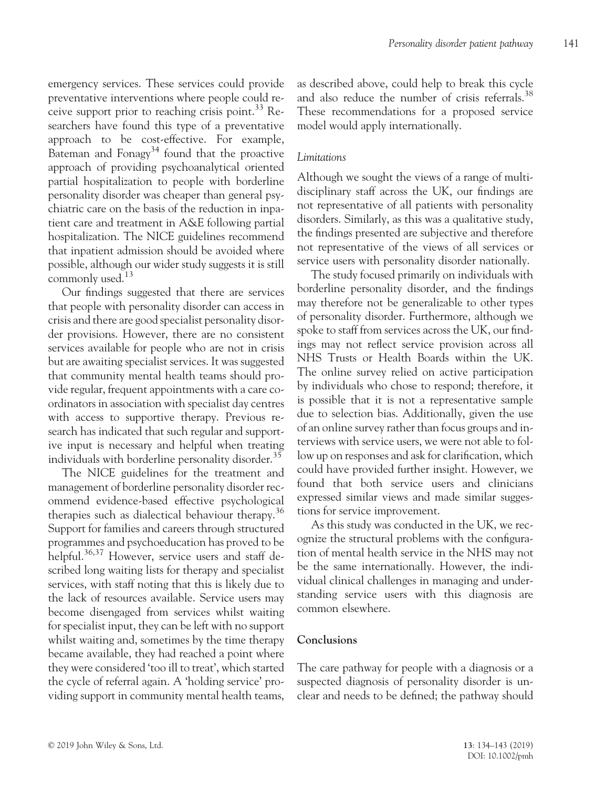emergency services. These services could provide preventative interventions where people could receive support prior to reaching crisis point.<sup>33</sup> Researchers have found this type of a preventative approach to be cost-effective. For example, Bateman and Fonagy<sup>34</sup> found that the proactive approach of providing psychoanalytical oriented partial hospitalization to people with borderline personality disorder was cheaper than general psychiatric care on the basis of the reduction in inpatient care and treatment in A&E following partial hospitalization. The NICE guidelines recommend that inpatient admission should be avoided where possible, although our wider study suggests it is still commonly used.<sup>13</sup>

Our findings suggested that there are services that people with personality disorder can access in crisis and there are good specialist personality disorder provisions. However, there are no consistent services available for people who are not in crisis but are awaiting specialist services. It was suggested that community mental health teams should provide regular, frequent appointments with a care coordinators in association with specialist day centres with access to supportive therapy. Previous research has indicated that such regular and supportive input is necessary and helpful when treating individuals with borderline personality disorder.<sup>35</sup>

The NICE guidelines for the treatment and management of borderline personality disorder recommend evidence-based effective psychological therapies such as dialectical behaviour therapy.<sup>36</sup> Support for families and careers through structured programmes and psychoeducation has proved to be helpful.<sup>36,37</sup> However, service users and staff described long waiting lists for therapy and specialist services, with staff noting that this is likely due to the lack of resources available. Service users may become disengaged from services whilst waiting for specialist input, they can be left with no support whilst waiting and, sometimes by the time therapy became available, they had reached a point where they were considered 'too ill to treat', which started the cycle of referral again. A 'holding service' providing support in community mental health teams, as described above, could help to break this cycle and also reduce the number of crisis referrals.<sup>38</sup> These recommendations for a proposed service model would apply internationally.

## Limitations

Although we sought the views of a range of multidisciplinary staff across the UK, our findings are not representative of all patients with personality disorders. Similarly, as this was a qualitative study, the findings presented are subjective and therefore not representative of the views of all services or service users with personality disorder nationally.

The study focused primarily on individuals with borderline personality disorder, and the findings may therefore not be generalizable to other types of personality disorder. Furthermore, although we spoke to staff from services across the UK, our findings may not reflect service provision across all NHS Trusts or Health Boards within the UK. The online survey relied on active participation by individuals who chose to respond; therefore, it is possible that it is not a representative sample due to selection bias. Additionally, given the use of an online survey rather than focus groups and interviews with service users, we were not able to follow up on responses and ask for clarification, which could have provided further insight. However, we found that both service users and clinicians expressed similar views and made similar suggestions for service improvement.

As this study was conducted in the UK, we recognize the structural problems with the configuration of mental health service in the NHS may not be the same internationally. However, the individual clinical challenges in managing and understanding service users with this diagnosis are common elsewhere.

# Conclusions

The care pathway for people with a diagnosis or a suspected diagnosis of personality disorder is unclear and needs to be defined; the pathway should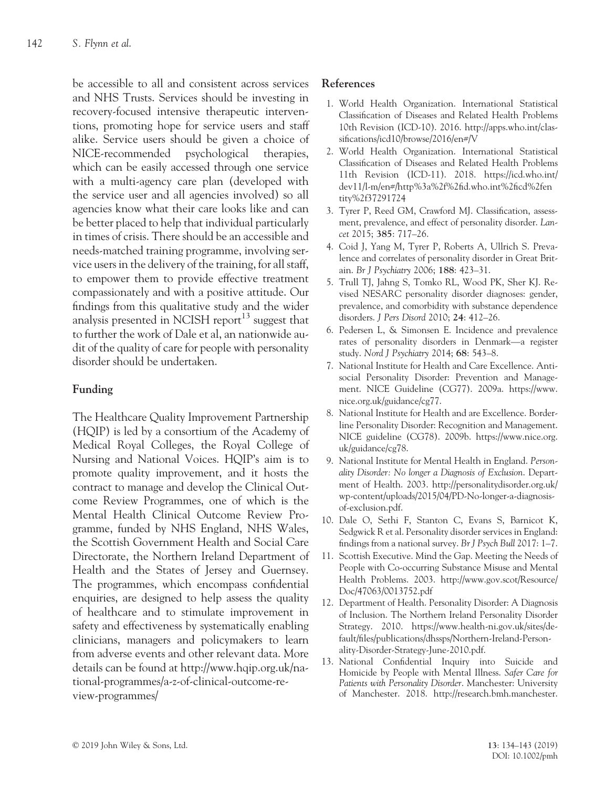be accessible to all and consistent across services and NHS Trusts. Services should be investing in recovery-focused intensive therapeutic interventions, promoting hope for service users and staff alike. Service users should be given a choice of NICE-recommended psychological therapies, which can be easily accessed through one service with a multi-agency care plan (developed with the service user and all agencies involved) so all agencies know what their care looks like and can be better placed to help that individual particularly in times of crisis. There should be an accessible and needs-matched training programme, involving service users in the delivery of the training, for all staff, to empower them to provide effective treatment compassionately and with a positive attitude. Our findings from this qualitative study and the wider analysis presented in NCISH report $13$  suggest that to further the work of Dale et al, an nationwide audit of the quality of care for people with personality disorder should be undertaken.

## Funding

The Healthcare Quality Improvement Partnership (HQIP) is led by a consortium of the Academy of Medical Royal Colleges, the Royal College of Nursing and National Voices. HQIP's aim is to promote quality improvement, and it hosts the contract to manage and develop the Clinical Outcome Review Programmes, one of which is the Mental Health Clinical Outcome Review Programme, funded by NHS England, NHS Wales, the Scottish Government Health and Social Care Directorate, the Northern Ireland Department of Health and the States of Jersey and Guernsey. The programmes, which encompass confidential enquiries, are designed to help assess the quality of healthcare and to stimulate improvement in safety and effectiveness by systematically enabling clinicians, managers and policymakers to learn from adverse events and other relevant data. More details can be found at [http://www.hqip.org.uk/na](http://www.hqip.org.uk/national-programmes/a-z-of-clinical-outcome-review-programmes/)[tional-programmes/a-z-of-clinical-outcome-re](http://www.hqip.org.uk/national-programmes/a-z-of-clinical-outcome-review-programmes/)[view-programmes/](http://www.hqip.org.uk/national-programmes/a-z-of-clinical-outcome-review-programmes/)

#### References

- 1. World Health Organization. International Statistical Classification of Diseases and Related Health Problems 10th Revision (ICD-10). 2016. [http://apps.who.int/clas](http://apps.who.int/classifications/icd10/browse/2016/en#/V)sifi[cations/icd10/browse/2016/en#/V](http://apps.who.int/classifications/icd10/browse/2016/en#/V)
- 2. World Health Organization. International Statistical Classification of Diseases and Related Health Problems 11th Revision (ICD-11). 2018. [https://icd.who.int/](https://icd.who.int/dev11/l-m/en#/http%3a%2f%2fid.who.int%2ficd%2fentity%2f37291724) [dev11/l-m/en#/http%3a%2f%2](https://icd.who.int/dev11/l-m/en#/http%3a%2f%2fid.who.int%2ficd%2fentity%2f37291724)fid.who.int%2ficd%2fen [tity%2f37291724](https://icd.who.int/dev11/l-m/en#/http%3a%2f%2fid.who.int%2ficd%2fentity%2f37291724)
- 3. Tyrer P, Reed GM, Crawford MJ. Classification, assessment, prevalence, and effect of personality disorder. Lancet 2015; 385: 717–26.
- 4. Coid J, Yang M, Tyrer P, Roberts A, Ullrich S. Prevalence and correlates of personality disorder in Great Britain. Br J Psychiatry 2006; 188: 423–31.
- 5. Trull TJ, Jahng S, Tomko RL, Wood PK, Sher KJ. Revised NESARC personality disorder diagnoses: gender, prevalence, and comorbidity with substance dependence disorders. J Pers Disord 2010; 24: 412–26.
- 6. Pedersen L, & Simonsen E. Incidence and prevalence rates of personality disorders in Denmark—a register study. Nord J Psychiatry 2014; 68: 543–8.
- 7. National Institute for Health and Care Excellence. Antisocial Personality Disorder: Prevention and Management. NICE Guideline (CG77). 2009a. [https://www.](https://www.nice.org.uk/guidance/cg77) [nice.org.uk/guidance/cg77](https://www.nice.org.uk/guidance/cg77).
- 8. National Institute for Health and are Excellence. Borderline Personality Disorder: Recognition and Management. NICE guideline (CG78). 2009b. [https://www.nice.org.](https://www.nice.org.uk/guidance/cg78) [uk/guidance/cg78](https://www.nice.org.uk/guidance/cg78).
- 9. National Institute for Mental Health in England. Personality Disorder: No longer a Diagnosis of Exclusion. Department of Health. 2003. [http://personalitydisorder.org.uk/](http://personalitydisorder.org.uk/wp-content/uploads/2015/04/PD-No-longer-a-diagnosis-of-exclusion.pdf) [wp-content/uploads/2015/04/PD-No-longer-a-diagnosis](http://personalitydisorder.org.uk/wp-content/uploads/2015/04/PD-No-longer-a-diagnosis-of-exclusion.pdf)[of-exclusion.pdf.](http://personalitydisorder.org.uk/wp-content/uploads/2015/04/PD-No-longer-a-diagnosis-of-exclusion.pdf)
- 10. Dale O, Sethi F, Stanton C, Evans S, Barnicot K, Sedgwick R et al. Personality disorder services in England: findings from a national survey. Br J Psych Bull 2017: 1–7.
- 11. Scottish Executive. Mind the Gap. Meeting the Needs of People with Co-occurring Substance Misuse and Mental Health Problems. 2003. [http://www.gov.scot/Resource/](http://www.gov.scot/Resource/Doc/47063/0013752.pdf) [Doc/47063/0013752.pdf](http://www.gov.scot/Resource/Doc/47063/0013752.pdf)
- 12. Department of Health. Personality Disorder: A Diagnosis of Inclusion. The Northern Ireland Personality Disorder Strategy. 2010. [https://www.health-ni.gov.uk/sites/de](https://www.health-ni.gov.uk/sites/default/files/publications/dhssps/Northern-Ireland-Personality-Disorder-Strategy-June-2010.pdf)fault/fi[les/publications/dhssps/Northern-Ireland-Person](https://www.health-ni.gov.uk/sites/default/files/publications/dhssps/Northern-Ireland-Personality-Disorder-Strategy-June-2010.pdf)[ality-Disorder-Strategy-June-2010.pdf](https://www.health-ni.gov.uk/sites/default/files/publications/dhssps/Northern-Ireland-Personality-Disorder-Strategy-June-2010.pdf).
- 13. National Confidential Inquiry into Suicide and Homicide by People with Mental Illness. Safer Care for Patients with Personality Disorder. Manchester: University of Manchester. 2018. [http://research.bmh.manchester.](http://research.bmh.manchester.ac.uk/cmhs/research/centreforsuicideprevention/nci/reports/pdreport.pdf)